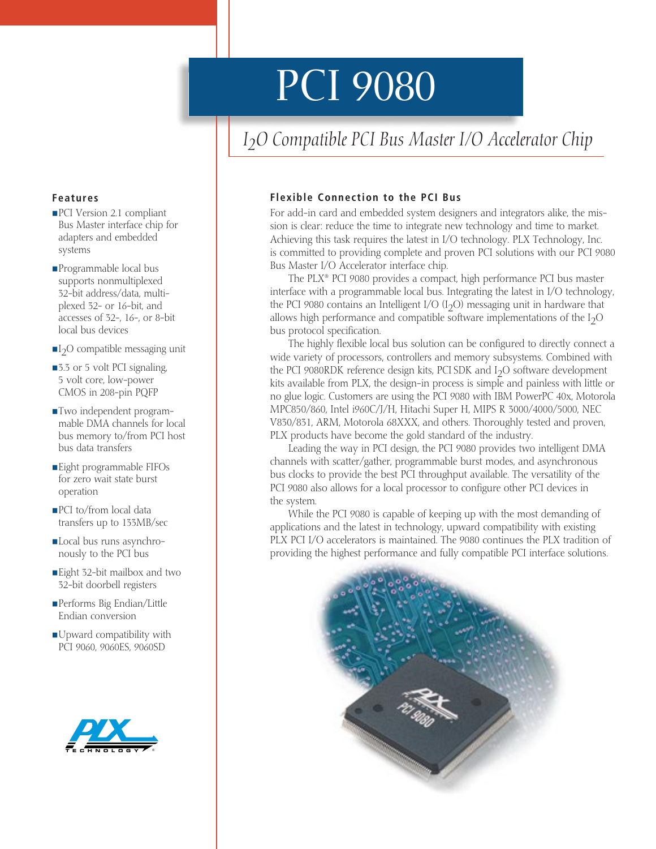# PCI 9080

# *I2O Compatible PCI Bus Master I/O Accelerator Chip*

#### **Flexible Connection to the PCI Bus**

For add-in card and embedded system designers and integrators alike, the mission is clear: reduce the time to integrate new technology and time to market. Achieving this task requires the latest in I/O technology. PLX Technology, Inc. is committed to providing complete and proven PCI solutions with our PCI 9080 Bus Master I/O Accelerator interface chip.

The PLX® PCI 9080 provides a compact, high performance PCI bus master interface with a programmable local bus. Integrating the latest in I/O technology, the PCI 9080 contains an Intelligent I/O  $(I_2O)$  messaging unit in hardware that allows high performance and compatible software implementations of the  $I_2O$ bus protocol specification.

The highly flexible local bus solution can be configured to directly connect a wide variety of processors, controllers and memory subsystems. Combined with the PCI 9080RDK reference design kits, PCI SDK and  $I_2O$  software development kits available from PLX, the design-in process is simple and painless with little or no glue logic. Customers are using the PCI 9080 with IBM PowerPC 40x, Motorola MPC850/860, Intel i960C/J/H, Hitachi Super H, MIPS R 3000/4000/5000, NEC V830/831, ARM, Motorola 68XXX, and others. Thoroughly tested and proven, PLX products have become the gold standard of the industry.

Leading the way in PCI design, the PCI 9080 provides two intelligent DMA channels with scatter/gather, programmable burst modes, and asynchronous bus clocks to provide the best PCI throughput available. The versatility of the PCI 9080 also allows for a local processor to configure other PCI devices in the system.

While the PCI 9080 is capable of keeping up with the most demanding of applications and the latest in technology, upward compatibility with existing PLX PCI I/O accelerators is maintained. The 9080 continues the PLX tradition of providing the highest performance and fully compatible PCI interface solutions.



#### **Features**

- PCI Version 2.1 compliant Bus Master interface chip for adapters and embedded systems
- Programmable local bus supports nonmultiplexed 32-bit address/data, multiplexed 32- or 16-bit, and accesses of 32-, 16-, or 8-bit local bus devices
- $\Pi_2$ O compatible messaging unit
- 3.3 or 5 volt PCI signaling, 5 volt core, low-power CMOS in 208-pin PQFP
- Two independent programmable DMA channels for local bus memory to/from PCI host bus data transfers
- Eight programmable FIFOs for zero wait state burst operation
- PCI to/from local data transfers up to 133MB/sec
- Local bus runs asynchronously to the PCI bus
- Eight 32-bit mailbox and two 32-bit doorbell registers
- Performs Big Endian/Little Endian conversion
- Upward compatibility with PCI 9060, 9060ES, 9060SD